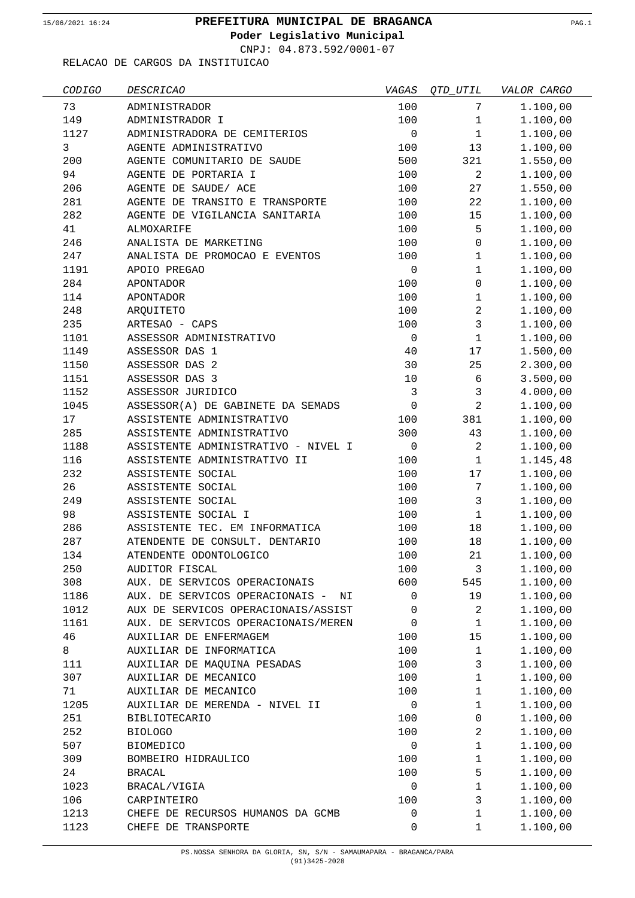**Poder Legislativo Municipal**

CNPJ: 04.873.592/0001-07

| CODIGO | <b>DESCRICAO</b>                      | VAGAS        | OTD UTIL            | VALOR CARGO |
|--------|---------------------------------------|--------------|---------------------|-------------|
| 73     | ADMINISTRADOR                         | 100          | 7                   | 1.100,00    |
| 149    | ADMINISTRADOR I                       | 100          | $\mathbf{1}$        | 1.100,00    |
| 1127   | ADMINISTRADORA DE CEMITERIOS          | $\mathbf 0$  | $\mathbf{1}$        | 1.100,00    |
| 3      | AGENTE ADMINISTRATIVO                 | 100          | 13                  | 1.100,00    |
| 200    | AGENTE COMUNITARIO DE SAUDE           | 500          | 321                 | 1.550,00    |
| 94     | AGENTE DE PORTARIA I                  | 100          | $\overline{2}$      | 1.100,00    |
| 206    | AGENTE DE SAUDE/ ACE                  | 100          | 27                  | 1.550,00    |
| 281    | AGENTE DE TRANSITO E TRANSPORTE       | 100          | 22                  | 1.100,00    |
| 282    | AGENTE DE VIGILANCIA SANITARIA        | 100          | 15                  | 1.100,00    |
| 41     | ALMOXARIFE                            | 100          | 5                   | 1.100,00    |
| 246    | ANALISTA DE MARKETING                 | 100          | $\mathsf{O}\xspace$ | 1.100,00    |
| 247    | ANALISTA DE PROMOCAO E EVENTOS        | 100          | $\mathbf{1}$        | 1.100,00    |
| 1191   | APOIO PREGAO                          | $\mathbf 0$  | $\mathbf 1$         | 1.100,00    |
| 284    | <b>APONTADOR</b>                      | 100          | $\mathbf 0$         | 1.100,00    |
| 114    | <b>APONTADOR</b>                      | 100          | 1                   | 1.100,00    |
| 248    | ARQUITETO                             | 100          | $\overline{a}$      | 1.100,00    |
| 235    | ARTESAO - CAPS                        | 100          | 3                   | 1.100,00    |
| 1101   | ASSESSOR ADMINISTRATIVO               | $\mathbf 0$  | $\mathbf{1}$        | 1.100,00    |
| 1149   | ASSESSOR DAS 1                        | 40           | 17                  | 1.500,00    |
| 1150   | ASSESSOR DAS 2                        | 30           | 25                  | 2.300,00    |
| 1151   | ASSESSOR DAS 3                        | 10           | 6                   | 3.500,00    |
| 1152   | ASSESSOR JURIDICO                     | $\mathbf{3}$ | 3                   | 4.000,00    |
| 1045   | ASSESSOR(A) DE GABINETE DA SEMADS     | $\mathbf 0$  | $\overline{a}$      | 1.100,00    |
| 17     | ASSISTENTE ADMINISTRATIVO             | 100          | 381                 | 1.100,00    |
| 285    | ASSISTENTE ADMINISTRATIVO             | 300          | 43                  | 1.100,00    |
| 1188   | ASSISTENTE ADMINISTRATIVO - NIVEL I   | $\mathbf 0$  | $\overline{a}$      | 1.100,00    |
| 116    | ASSISTENTE ADMINISTRATIVO II          | 100          | $\mathbf{1}$        | 1.145,48    |
| 232    | ASSISTENTE SOCIAL                     | 100          | 17                  | 1.100,00    |
| 26     | ASSISTENTE SOCIAL                     | 100          | 7                   | 1.100,00    |
| 249    | ASSISTENTE SOCIAL                     | 100          | 3                   | 1.100,00    |
| 98     | ASSISTENTE SOCIAL I                   | 100          | $\mathbf{1}$        | 1.100,00    |
| 286    | ASSISTENTE TEC. EM INFORMATICA        | 100          | 18                  | 1.100,00    |
| 287    | ATENDENTE DE CONSULT. DENTARIO        | 100          | 18                  | 1.100,00    |
| 134    | ATENDENTE ODONTOLOGICO                | 100          | 21                  | 1.100,00    |
| 250    | AUDITOR FISCAL                        | 100          | 3                   | 1.100,00    |
| 308    | AUX. DE SERVICOS OPERACIONAIS         | 600          | 545                 | 1.100,00    |
| 1186   | AUX. DE SERVICOS OPERACIONAIS -<br>ΝI | 0            | 19                  | 1.100,00    |
| 1012   | AUX DE SERVICOS OPERACIONAIS/ASSIST   | 0            | 2                   | 1.100,00    |
| 1161   | AUX. DE SERVICOS OPERACIONAIS/MEREN   | 0            | $\mathbf{1}$        | 1.100,00    |
| 46     | AUXILIAR DE ENFERMAGEM                | 100          | 15                  | 1.100,00    |
| 8      | AUXILIAR DE INFORMATICA               | 100          | $\mathbf 1$         | 1.100,00    |
| 111    | AUXILIAR DE MAQUINA PESADAS           | 100          | 3                   | 1.100,00    |
| 307    | AUXILIAR DE MECANICO                  | 100          | $\mathbf 1$         | 1.100,00    |
| 71     | AUXILIAR DE MECANICO                  | 100          | $\mathbf 1$         | 1.100,00    |
| 1205   | AUXILIAR DE MERENDA - NIVEL II        | 0            | $\mathbf{1}$        | 1.100,00    |
| 251    | <b>BIBLIOTECARIO</b>                  | 100          | 0                   | 1.100,00    |
| 252    | <b>BIOLOGO</b>                        | 100          | $\overline{a}$      | 1.100,00    |
| 507    | <b>BIOMEDICO</b>                      | 0            | 1                   | 1.100,00    |
| 309    | BOMBEIRO HIDRAULICO                   | 100          | $\mathbf 1$         | 1.100,00    |
| 24     | <b>BRACAL</b>                         | 100          | 5                   | 1.100,00    |
| 1023   | BRACAL/VIGIA                          | 0            | $\mathbf 1$         | 1.100,00    |
| 106    | CARPINTEIRO                           | 100          | 3                   | 1.100,00    |
| 1213   | CHEFE DE RECURSOS HUMANOS DA GCMB     | 0            | 1                   | 1.100,00    |
| 1123   | CHEFE DE TRANSPORTE                   | 0            | 1                   | 1.100,00    |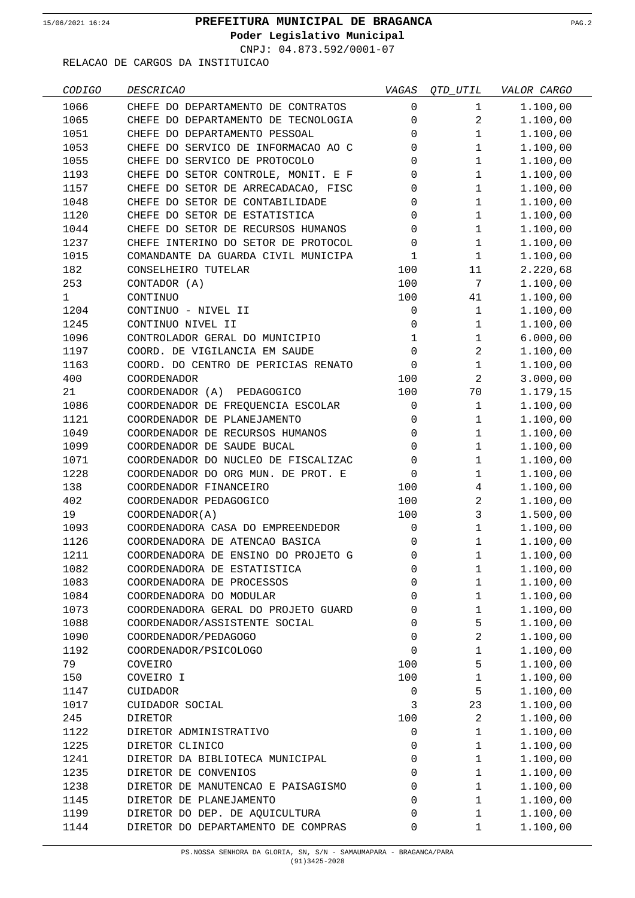$\overline{\phantom{a}}$ 

## **PREFEITURA MUNICIPAL DE BRAGANCA** 15/06/2021 16:24 PAG.2

**Poder Legislativo Municipal**

CNPJ: 04.873.592/0001-07

| CODIGO       | <b>DESCRICAO</b>                    | VAGAS        | OTD UTIL       | VALOR CARGO |
|--------------|-------------------------------------|--------------|----------------|-------------|
| 1066         | CHEFE DO DEPARTAMENTO DE CONTRATOS  | 0            | $\mathbf{1}$   | 1.100,00    |
| 1065         | CHEFE DO DEPARTAMENTO DE TECNOLOGIA | 0            | $\overline{a}$ | 1.100,00    |
| 1051         | CHEFE DO DEPARTAMENTO PESSOAL       | $\Omega$     | 1              | 1.100,00    |
| 1053         | CHEFE DO SERVICO DE INFORMACAO AO C | $\Omega$     | 1              | 1.100,00    |
| 1055         | CHEFE DO SERVICO DE PROTOCOLO       | 0            | $\mathbf{1}$   | 1.100,00    |
| 1193         | CHEFE DO SETOR CONTROLE, MONIT. E F | 0            | $\mathbf{1}$   | 1.100,00    |
| 1157         | CHEFE DO SETOR DE ARRECADACAO, FISC | 0            | $\mathbf{1}$   | 1.100,00    |
| 1048         | CHEFE DO SETOR DE CONTABILIDADE     | 0            | $\mathbf{1}$   | 1.100,00    |
| 1120         | CHEFE DO SETOR DE ESTATISTICA       | $\Omega$     | $\mathbf{1}$   | 1.100,00    |
| 1044         | CHEFE DO SETOR DE RECURSOS HUMANOS  | $\Omega$     | $\mathbf{1}$   | 1.100,00    |
| 1237         | CHEFE INTERINO DO SETOR DE PROTOCOL | 0            | $\mathbf{1}$   | 1.100,00    |
| 1015         | COMANDANTE DA GUARDA CIVIL MUNICIPA | $\mathbf 1$  | $\mathbf{1}$   | 1.100,00    |
| 182          | CONSELHEIRO TUTELAR                 | 100          | 11             | 2.220,68    |
| 253          | CONTADOR (A)                        | 100          | 7              | 1.100,00    |
| $\mathbf{1}$ | CONTINUO                            | 100          | 41             | 1.100,00    |
| 1204         | CONTINUO - NIVEL II                 | 0            | $\mathbf 1$    | 1.100,00    |
| 1245         | CONTINUO NIVEL II                   | 0            | 1              | 1.100,00    |
| 1096         | CONTROLADOR GERAL DO MUNICIPIO      | $\mathbf{1}$ | 1              | 6.000,00    |
| 1197         | COORD. DE VIGILANCIA EM SAUDE       | $\Omega$     | $\overline{a}$ | 1.100,00    |
| 1163         | COORD. DO CENTRO DE PERICIAS RENATO | $\Omega$     | 1              | 1.100,00    |
| 400          | <b>COORDENADOR</b>                  | 100          | $\overline{a}$ | 3.000,00    |
| 21           | COORDENADOR (A) PEDAGOGICO          | 100          | 70             | 1.179,15    |
| 1086         | COORDENADOR DE FREQUENCIA ESCOLAR   | 0            | $\mathbf{1}$   | 1.100,00    |
| 1121         | COORDENADOR DE PLANEJAMENTO         | 0            | $\mathbf{1}$   | 1.100,00    |
| 1049         | COORDENADOR DE RECURSOS HUMANOS     | $\Omega$     | $\mathbf{1}$   | 1.100,00    |
| 1099         | COORDENADOR DE SAUDE BUCAL          | $\Omega$     | $\mathbf{1}$   | 1.100,00    |
| 1071         | COORDENADOR DO NUCLEO DE FISCALIZAC | 0            | 1              | 1.100,00    |
| 1228         | COORDENADOR DO ORG MUN. DE PROT. E  | $\Omega$     | $\mathbf{1}$   | 1.100,00    |
| 138          | COORDENADOR FINANCEIRO              | 100          | 4              | 1.100,00    |
| 402          | COORDENADOR PEDAGOGICO              | 100          | $\overline{a}$ | 1.100,00    |
| 19           | COORDENADOR(A)                      | 100          | 3              | 1.500,00    |
| 1093         | COORDENADORA CASA DO EMPREENDEDOR   | 0            | $\mathbf{1}$   | 1.100,00    |
| 1126         | COORDENADORA DE ATENCAO BASICA      | $\Omega$     | 1              | 1.100,00    |
| 1211         | COORDENADORA DE ENSINO DO PROJETO G | $\Omega$     | 1              | 1.100,00    |
| 1082         | COORDENADORA DE ESTATISTICA         | 0            | 1              | 1.100,00    |
| 1083         | COORDENADORA DE PROCESSOS           | 0            | $\mathbf{1}$   | 1.100,00    |
| 1084         | COORDENADORA DO MODULAR             | 0            | $\mathbf{1}$   | 1.100,00    |
| 1073         | COORDENADORA GERAL DO PROJETO GUARD | 0            | $\mathbf{1}$   | 1.100,00    |
| 1088         | COORDENADOR/ASSISTENTE SOCIAL       | 0            | 5              | 1.100,00    |
| 1090         | COORDENADOR/PEDAGOGO                | 0            | $\overline{a}$ | 1.100,00    |
| 1192         | COORDENADOR/PSICOLOGO               | $\Omega$     | $\mathbf{1}$   | 1.100,00    |
| 79           | COVEIRO                             | 100          | 5              | 1.100,00    |
| 150          | COVEIRO I                           | 100          | $\mathbf{1}$   | 1.100,00    |
| 1147         | CUIDADOR                            | 0            | 5              | 1.100,00    |
| 1017         | CUIDADOR SOCIAL                     | 3            | 23             | 1.100,00    |
| 245          | <b>DIRETOR</b>                      | 100          | 2              | 1.100,00    |
| 1122         | DIRETOR ADMINISTRATIVO              | 0            | $\mathbf{1}$   | 1.100,00    |
| 1225         | DIRETOR CLINICO                     | 0            | $\mathbf{1}$   | 1.100,00    |
| 1241         | DIRETOR DA BIBLIOTECA MUNICIPAL     | 0            | $\mathbf{1}$   | 1.100,00    |
| 1235         | DIRETOR DE CONVENIOS                | 0            | $\mathbf{1}$   | 1.100,00    |
| 1238         | DIRETOR DE MANUTENCAO E PAISAGISMO  | $\Omega$     | $\mathbf{1}$   | 1.100,00    |
| 1145         | DIRETOR DE PLANEJAMENTO             | $\Omega$     | $\mathbf{1}$   | 1.100,00    |
| 1199         | DIRETOR DO DEP. DE AQUICULTURA      | 0            | $\mathbf{1}$   | 1.100,00    |
| 1144         | DIRETOR DO DEPARTAMENTO DE COMPRAS  | 0            | $\mathbf{1}$   | 1.100,00    |
|              |                                     |              |                |             |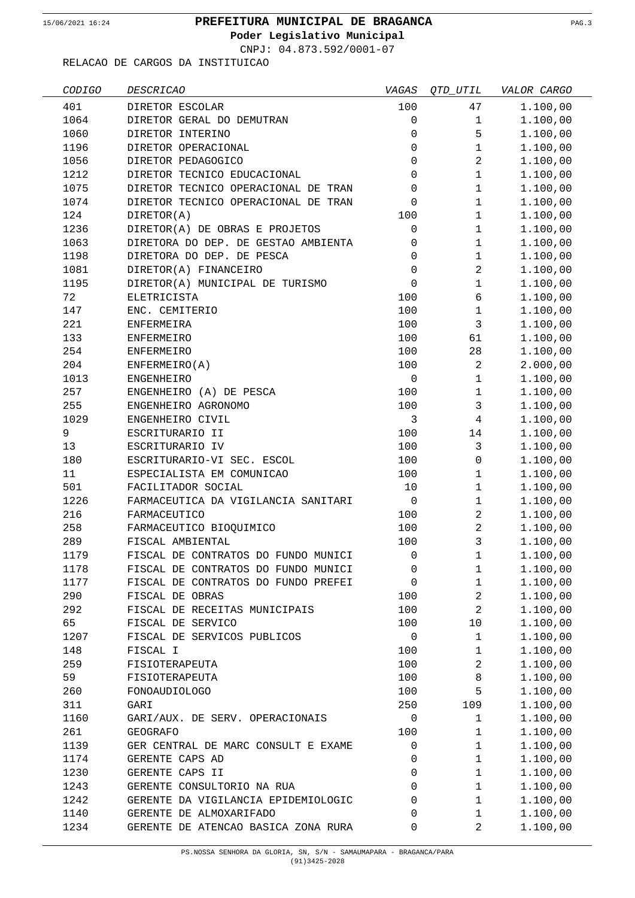**Poder Legislativo Municipal**

CNPJ: 04.873.592/0001-07

| CODIGO | <i>DESCRICAO</i>                    | VAGAS        | <i>QTD_UTIL</i> | VALOR CARGO |
|--------|-------------------------------------|--------------|-----------------|-------------|
| 401    | DIRETOR ESCOLAR                     | 100          | 47              | 1.100,00    |
| 1064   | DIRETOR GERAL DO DEMUTRAN           | 0            | $\mathbf 1$     | 1.100,00    |
| 1060   | DIRETOR INTERINO                    | 0            | 5               | 1.100,00    |
| 1196   | DIRETOR OPERACIONAL                 | 0            | $\mathbf 1$     | 1.100,00    |
| 1056   | DIRETOR PEDAGOGICO                  | 0            | $\overline{a}$  | 1.100,00    |
| 1212   | DIRETOR TECNICO EDUCACIONAL         | 0            | $\mathbf{1}$    | 1.100,00    |
| 1075   | DIRETOR TECNICO OPERACIONAL DE TRAN | $\mathbf 0$  | $\mathbf{1}$    | 1.100,00    |
| 1074   | DIRETOR TECNICO OPERACIONAL DE TRAN | 0            | $\mathbf{1}$    | 1.100,00    |
| 124    | DIRETOR(A)                          | 100          | $\mathbf{1}$    | 1.100,00    |
| 1236   | DIRETOR(A) DE OBRAS E PROJETOS      | $\mathsf 0$  | $\mathbf{1}$    | 1.100,00    |
| 1063   | DIRETORA DO DEP. DE GESTAO AMBIENTA | 0            | $\mathbf{1}$    | 1.100,00    |
| 1198   | DIRETORA DO DEP. DE PESCA           | 0            | $\mathbf{1}$    | 1.100,00    |
| 1081   | DIRETOR(A) FINANCEIRO               | $\mathbf 0$  | $\overline{a}$  | 1.100,00    |
| 1195   | DIRETOR(A) MUNICIPAL DE TURISMO     | 0            | $\mathbf 1$     | 1.100,00    |
| 72     | ELETRICISTA                         | 100          | 6               | 1.100,00    |
| 147    | ENC. CEMITERIO                      | 100          | $\mathbf 1$     | 1.100,00    |
| 221    | ENFERMEIRA                          | 100          | $\mathbf{3}$    | 1.100,00    |
| 133    | ENFERMEIRO                          | 100          | 61              | 1.100,00    |
| 254    | <b>ENFERMEIRO</b>                   | 100          | 28              | 1.100,00    |
| 204    | ENFERMEIRO(A)                       | 100          | 2               | 2.000,00    |
| 1013   | <b>ENGENHEIRO</b>                   | 0            | $\mathbf 1$     | 1.100,00    |
| 257    | ENGENHEIRO (A) DE PESCA             | 100          | $\mathbf{1}$    | 1.100,00    |
| 255    | ENGENHEIRO AGRONOMO                 | 100          | 3               | 1.100,00    |
| 1029   | ENGENHEIRO CIVIL                    | $\mathbf{3}$ | $\overline{4}$  | 1.100,00    |
| 9      | ESCRITURARIO II                     | 100          | 14              | 1.100,00    |
| 13     | ESCRITURARIO IV                     | 100          | 3               | 1.100,00    |
| 180    | ESCRITURARIO-VI SEC. ESCOL          | 100          | $\mathbf 0$     | 1.100,00    |
| 11     | ESPECIALISTA EM COMUNICAO           | 100          | 1               | 1.100,00    |
| 501    | FACILITADOR SOCIAL                  | 10           | $\mathbf{1}$    | 1.100,00    |
| 1226   | FARMACEUTICA DA VIGILANCIA SANITARI | $\mathsf 0$  | 1               | 1.100,00    |
| 216    | FARMACEUTICO                        | 100          | $\overline{a}$  | 1.100,00    |
| 258    | FARMACEUTICO BIOQUIMICO             | 100          | $\overline{c}$  | 1.100,00    |
| 289    | FISCAL AMBIENTAL                    | 100          | 3               | 1.100,00    |
| 1179   | FISCAL DE CONTRATOS DO FUNDO MUNICI | $\mathbf 0$  | 1               | 1.100,00    |
| 1178   | FISCAL DE CONTRATOS DO FUNDO MUNICI | 0            | 1               | 1.100,00    |
| 1177   | FISCAL DE CONTRATOS DO FUNDO PREFEI | 0            | 1               | 1.100,00    |
| 290    | FISCAL DE OBRAS                     | 100          | $\overline{a}$  | 1.100,00    |
| 292    | FISCAL DE RECEITAS MUNICIPAIS       | 100          | 2               | 1.100,00    |
| 65     | FISCAL DE SERVICO                   | 100          | 10              | 1.100,00    |
| 1207   | FISCAL DE SERVICOS PUBLICOS         | 0            | 1               | 1.100,00    |
| 148    | FISCAL I                            | 100          | $\mathbf 1$     | 1.100,00    |
| 259    | FISIOTERAPEUTA                      | 100          | 2               | 1.100,00    |
| 59     | FISIOTERAPEUTA                      | 100          | 8               | 1.100,00    |
| 260    | FONOAUDIOLOGO                       | 100          | 5               | 1.100,00    |
| 311    | GARI                                | 250          | 109             | 1.100,00    |
| 1160   | GARI/AUX. DE SERV. OPERACIONAIS     | 0            | 1               | 1.100,00    |
| 261    | <b>GEOGRAFO</b>                     | 100          | 1               | 1.100,00    |
| 1139   | GER CENTRAL DE MARC CONSULT E EXAME | 0            | 1               | 1.100,00    |
| 1174   | GERENTE CAPS AD                     | 0            | $\mathbf{1}$    | 1.100,00    |
| 1230   | GERENTE CAPS II                     | 0            | 1               | 1.100,00    |
| 1243   | GERENTE CONSULTORIO NA RUA          | $\mathbf 0$  | 1               | 1.100,00    |
| 1242   | GERENTE DA VIGILANCIA EPIDEMIOLOGIC | 0            | 1               | 1.100,00    |
| 1140   | GERENTE DE ALMOXARIFADO             | 0            | 1               | 1.100,00    |
| 1234   | GERENTE DE ATENCAO BASICA ZONA RURA | 0            | 2               | 1.100,00    |
|        |                                     |              |                 |             |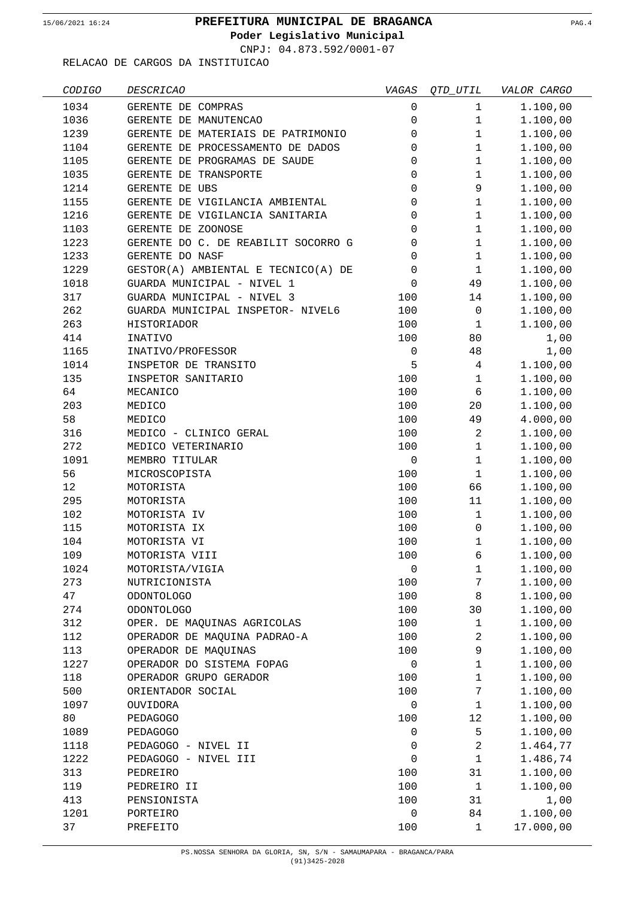$\overline{\phantom{0}}$ 

## **PREFEITURA MUNICIPAL DE BRAGANCA** 15/06/2021 16:24 PAG.4

**Poder Legislativo Municipal**

CNPJ: 04.873.592/0001-07

| CODIGO | <b>DESCRICAO</b>                    | VAGAS               | QTD_UTIL       | VALOR CARGO |
|--------|-------------------------------------|---------------------|----------------|-------------|
| 1034   | GERENTE DE COMPRAS                  | $\mathbf 0$         | $\mathbf 1$    | 1.100,00    |
| 1036   | GERENTE DE MANUTENCAO               | $\mathsf{O}\xspace$ | $\mathbf{1}$   | 1.100,00    |
| 1239   | GERENTE DE MATERIAIS DE PATRIMONIO  | 0                   | $\mathbf 1$    | 1.100,00    |
| 1104   | GERENTE DE PROCESSAMENTO DE DADOS   | 0                   | $\mathbf 1$    | 1.100,00    |
| 1105   | GERENTE DE PROGRAMAS DE SAUDE       | $\mathbf 0$         | $\mathbf 1$    | 1.100,00    |
| 1035   | GERENTE DE TRANSPORTE               | $\mathbf 0$         | $\mathbf{1}$   | 1.100,00    |
| 1214   | GERENTE DE UBS                      | $\mathbf 0$         | 9              | 1.100,00    |
| 1155   | GERENTE DE VIGILANCIA AMBIENTAL     | $\mathbf 0$         | $\mathbf{1}$   | 1.100,00    |
| 1216   | GERENTE DE VIGILANCIA SANITARIA     | 0                   | $\mathbf{1}$   | 1.100,00    |
| 1103   | GERENTE DE ZOONOSE                  | $\mathbf 0$         | $\mathbf{1}$   | 1.100,00    |
| 1223   | GERENTE DO C. DE REABILIT SOCORRO G | 0                   | $\mathbf{1}$   | 1.100,00    |
| 1233   | GERENTE DO NASF                     | 0                   | $\mathbf 1$    | 1.100,00    |
| 1229   | GESTOR(A) AMBIENTAL E TECNICO(A) DE | $\mathbf 0$         | $\mathbf{1}$   | 1.100,00    |
| 1018   | GUARDA MUNICIPAL - NIVEL 1          | $\mathbf 0$         | 49             | 1.100,00    |
| 317    | GUARDA MUNICIPAL - NIVEL 3          | 100                 | 14             | 1.100,00    |
| 262    | GUARDA MUNICIPAL INSPETOR- NIVEL6   | 100                 | 0              | 1.100,00    |
| 263    | HISTORIADOR                         | 100                 | $\mathbf{1}$   | 1.100,00    |
| 414    | INATIVO                             | 100                 | 80             | 1,00        |
| 1165   | INATIVO/PROFESSOR                   | $\mathbf 0$         | 48             | 1,00        |
| 1014   | INSPETOR DE TRANSITO                | 5                   | 4              | 1.100,00    |
| 135    | INSPETOR SANITARIO                  | 100                 | $\mathbf{1}$   | 1.100,00    |
| 64     | MECANICO                            | 100                 | 6              | 1.100,00    |
| 203    | MEDICO                              | 100                 | 20             | 1.100,00    |
| 58     | MEDICO                              | 100                 | 49             | 4.000,00    |
| 316    | MEDICO - CLINICO GERAL              | 100                 | $\overline{a}$ | 1.100,00    |
| 272    | MEDICO VETERINARIO                  | 100                 | $\mathbf{1}$   | 1.100,00    |
| 1091   | MEMBRO TITULAR                      | $\mathbf 0$         | $\mathbf{1}$   | 1.100,00    |
| 56     | MICROSCOPISTA                       | 100                 | $\mathbf{1}$   | 1.100,00    |
| 12     | MOTORISTA                           | 100                 | 66             | 1.100,00    |
| 295    | MOTORISTA                           | 100                 | 11             | 1.100,00    |
| 102    | MOTORISTA IV                        | 100                 | $\mathbf{1}$   | 1.100,00    |
| 115    | MOTORISTA IX                        | 100                 | $\mathsf 0$    | 1.100,00    |
| 104    | MOTORISTA VI                        | 100                 | $\mathbf 1$    | 1.100,00    |
| 109    | MOTORISTA VIII                      | 100                 | 6              | 1.100,00    |
| 1024   | MOTORISTA/VIGIA                     | 0                   | $\mathbf{1}$   | 1.100,00    |
| 273    | NUTRICIONISTA                       | 100                 | 7              | 1.100,00    |
| 47     | <b>ODONTOLOGO</b>                   | 100                 | 8              | 1.100,00    |
| 274    | ODONTOLOGO                          | 100                 | 30             | 1.100,00    |
| 312    | OPER. DE MAQUINAS AGRICOLAS         | 100                 | $\mathbf{1}$   | 1.100,00    |
| 112    | OPERADOR DE MAQUINA PADRAO-A        | 100                 | $\overline{c}$ | 1.100,00    |
| 113    | OPERADOR DE MAQUINAS                | 100                 | 9              | 1.100,00    |
| 1227   | OPERADOR DO SISTEMA FOPAG           | $\mathbf 0$         | $\mathbf 1$    | 1.100,00    |
| 118    | OPERADOR GRUPO GERADOR              | 100                 | $\mathbf 1$    | 1.100,00    |
| 500    | ORIENTADOR SOCIAL                   | 100                 | 7              | 1.100,00    |
| 1097   | OUVIDORA                            | 0                   | $\mathbf{1}$   | 1.100,00    |
| 80     | PEDAGOGO                            | 100                 | 12             | 1.100,00    |
| 1089   | PEDAGOGO                            | 0                   | 5              | 1.100,00    |
| 1118   | PEDAGOGO - NIVEL II                 | 0                   | $\overline{c}$ | 1.464,77    |
| 1222   | PEDAGOGO - NIVEL III                | 0                   | $\mathbf 1$    | 1.486,74    |
| 313    | PEDREIRO                            | 100                 | 31             | 1.100,00    |
| 119    | PEDREIRO II                         | 100                 | $\mathbf{1}$   | 1.100,00    |
| 413    | PENSIONISTA                         | 100                 | 31             | 1,00        |
| 1201   | PORTEIRO                            | 0                   | 84             | 1.100,00    |
| 37     | PREFEITO                            | 100                 | $\mathbf 1$    | 17.000,00   |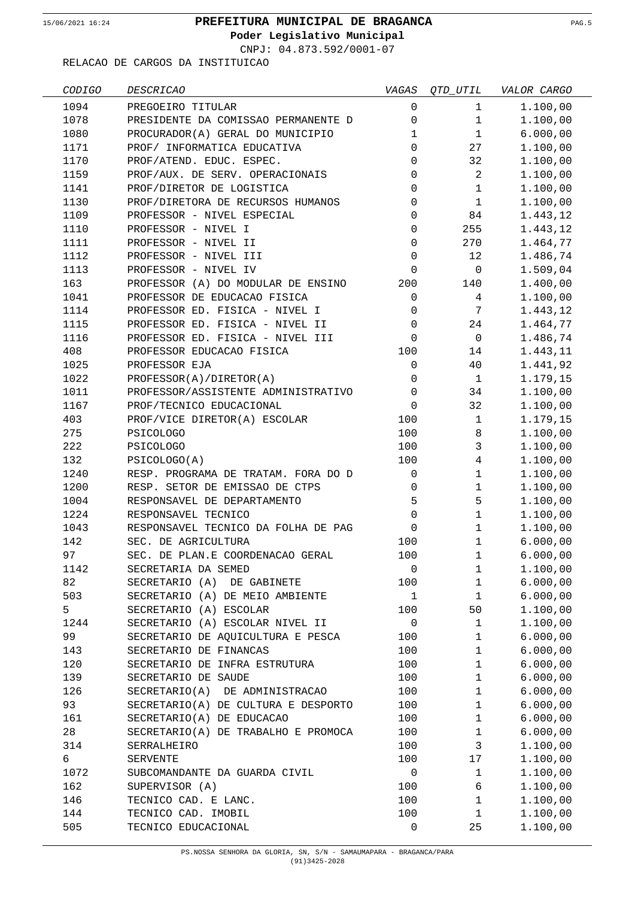**Poder Legislativo Municipal**

CNPJ: 04.873.592/0001-07

| CODIGO | <i>DESCRICAO</i>                    | VAGAS        | $QTD\_UTIL$    | VALOR CARGO |
|--------|-------------------------------------|--------------|----------------|-------------|
| 1094   | PREGOEIRO TITULAR                   | $\mathbf 0$  | $\mathbf{1}$   | 1.100,00    |
| 1078   | PRESIDENTE DA COMISSAO PERMANENTE D | 0            | $\mathbf{1}$   | 1.100,00    |
| 1080   | PROCURADOR(A) GERAL DO MUNICIPIO    | 1            | $\mathbf{1}$   | 6.000,00    |
| 1171   | PROF/ INFORMATICA EDUCATIVA         | $\Omega$     | 27             | 1.100,00    |
| 1170   | PROF/ATEND. EDUC. ESPEC.            | $\Omega$     | 32             | 1.100,00    |
| 1159   | PROF/AUX. DE SERV. OPERACIONAIS     | 0            | $\overline{2}$ | 1.100,00    |
| 1141   | PROF/DIRETOR DE LOGISTICA           | 0            | $\mathbf{1}$   | 1.100,00    |
| 1130   | PROF/DIRETORA DE RECURSOS HUMANOS   | 0            | $\mathbf{1}$   | 1.100,00    |
| 1109   | PROFESSOR - NIVEL ESPECIAL          | 0            | 84             | 1.443,12    |
| 1110   | PROFESSOR - NIVEL I                 | 0            | 255            | 1.443,12    |
| 1111   | PROFESSOR - NIVEL II                | 0            | 270            | 1.464,77    |
| 1112   | PROFESSOR - NIVEL III               | 0            | 12             | 1.486,74    |
| 1113   | PROFESSOR - NIVEL IV                | 0            | $\mathbf 0$    | 1.509,04    |
| 163    | PROFESSOR (A) DO MODULAR DE ENSINO  | 200          | 140            | 1.400,00    |
| 1041   | PROFESSOR DE EDUCACAO FISICA        | 0            | 4              | 1.100,00    |
| 1114   | PROFESSOR ED. FISICA - NIVEL I      | 0            | 7              | 1.443,12    |
| 1115   | PROFESSOR ED. FISICA - NIVEL II     | $\mathsf 0$  | 24             | 1.464,77    |
| 1116   | PROFESSOR ED. FISICA - NIVEL III    | $\mathbf 0$  | $\mathbf 0$    | 1.486,74    |
| 408    | PROFESSOR EDUCACAO FISICA           | 100          | 14             | 1.443,11    |
| 1025   | PROFESSOR EJA                       | 0            | 40             | 1.441,92    |
| 1022   | PROFESSOR(A)/DIRETOR(A)             | 0            | $\mathbf{1}$   | 1.179,15    |
| 1011   | PROFESSOR/ASSISTENTE ADMINISTRATIVO | $\mathbf 0$  | 34             | 1.100,00    |
| 1167   | PROF/TECNICO EDUCACIONAL            | 0            | 32             | 1.100,00    |
| 403    | PROF/VICE DIRETOR(A) ESCOLAR        | 100          | $\mathbf{1}$   | 1.179,15    |
| 275    | <b>PSICOLOGO</b>                    | 100          | 8              | 1.100,00    |
| 222    | <b>PSICOLOGO</b>                    | 100          | $\mathsf{3}$   | 1.100,00    |
| 132    | PSICOLOGO(A)                        | 100          | $\overline{4}$ | 1.100,00    |
| 1240   | RESP. PROGRAMA DE TRATAM. FORA DO D | 0            | $\mathbf{1}$   | 1.100,00    |
| 1200   | RESP. SETOR DE EMISSAO DE CTPS      | 0            | $\mathbf{1}$   | 1.100,00    |
| 1004   | RESPONSAVEL DE DEPARTAMENTO         | 5            | 5              | 1.100,00    |
| 1224   | RESPONSAVEL TECNICO                 | 0            | $\mathbf 1$    | 1.100,00    |
| 1043   | RESPONSAVEL TECNICO DA FOLHA DE PAG | 0            | $\mathbf{1}$   | 1.100,00    |
| 142    | SEC. DE AGRICULTURA                 | 100          | $\mathbf{1}$   | 6.000,00    |
| 97     | SEC. DE PLAN.E COORDENACAO GERAL    | 100          | 1              | 6.000,00    |
| 1142   | SECRETARIA DA SEMED                 | $\mathbf 0$  | $\mathbf{1}$   | 1.100,00    |
| 82     | SECRETARIO (A) DE GABINETE          | 100          | $\mathbf{1}$   | 6.000,00    |
| 503    | SECRETARIO (A) DE MEIO AMBIENTE     | $\mathbf{1}$ | $\mathbf{1}$   | 6.000,00    |
| 5      | SECRETARIO (A) ESCOLAR              | 100          | 50             | 1.100,00    |
| 1244   | SECRETARIO (A) ESCOLAR NIVEL II     | 0            | $\mathbf{1}$   | 1.100,00    |
| 99     | SECRETARIO DE AQUICULTURA E PESCA   | 100          | $\mathbf{1}$   | 6.000,00    |
| 143    | SECRETARIO DE FINANCAS              | 100          | $\mathbf{1}$   | 6.000,00    |
| 120    | SECRETARIO DE INFRA ESTRUTURA       | 100          | $\mathbf{1}$   | 6.000,00    |
| 139    | SECRETARIO DE SAUDE                 | 100          | $\mathbf{1}$   | 6.000,00    |
| 126    | SECRETARIO(A) DE ADMINISTRACAO      | 100          | $\mathbf{1}$   | 6.000,00    |
| 93     | SECRETARIO(A) DE CULTURA E DESPORTO | 100          | $\mathbf{1}$   | 6.000,00    |
| 161    | SECRETARIO(A) DE EDUCACAO           | 100          | $\mathbf 1$    | 6.000,00    |
| 28     | SECRETARIO(A) DE TRABALHO E PROMOCA | 100          | $\mathbf{1}$   | 6.000,00    |
| 314    | SERRALHEIRO                         | 100          | 3              | 1.100,00    |
| 6      | SERVENTE                            | 100          | 17             | 1.100,00    |
| 1072   | SUBCOMANDANTE DA GUARDA CIVIL       | 0            | $\mathbf{1}$   | 1.100,00    |
| 162    | SUPERVISOR (A)                      | 100          | 6              | 1.100,00    |
| 146    | TECNICO CAD. E LANC.                | 100          | $\mathbf{1}$   | 1.100,00    |
| 144    | TECNICO CAD. IMOBIL                 | 100          | $\mathbf{1}$   | 1.100,00    |
| 505    | TECNICO EDUCACIONAL                 | 0            | 25             | 1.100,00    |
|        |                                     |              |                |             |